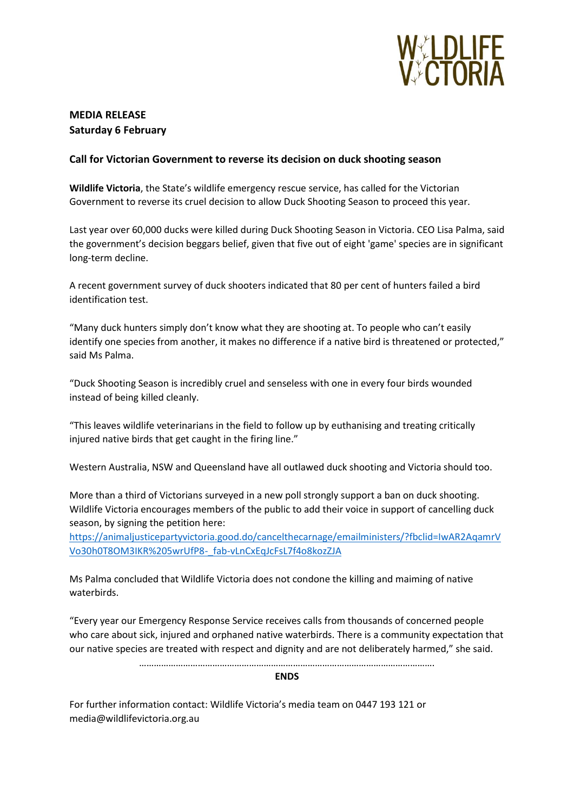

## **MEDIA RELEASE Saturday 6 February**

## **Call for Victorian Government to reverse its decision on duck shooting season**

**Wildlife Victoria**, the State's wildlife emergency rescue service, has called for the Victorian Government to reverse its cruel decision to allow Duck Shooting Season to proceed this year.

Last year over 60,000 ducks were killed during Duck Shooting Season in Victoria. CEO Lisa Palma, said the government's decision beggars belief, given that five out of eight 'game' species are in significant long-term decline.

A recent government survey of duck shooters indicated that 80 per cent of hunters failed a bird identification test.

"Many duck hunters simply don't know what they are shooting at. To people who can't easily identify one species from another, it makes no difference if a native bird is threatened or protected," said Ms Palma.

"Duck Shooting Season is incredibly cruel and senseless with one in every four birds wounded instead of being killed cleanly.

"This leaves wildlife veterinarians in the field to follow up by euthanising and treating critically injured native birds that get caught in the firing line."

Western Australia, NSW and Queensland have all outlawed duck shooting and Victoria should too.

More than a third of Victorians surveyed in a new poll strongly support a ban on duck shooting. Wildlife Victoria encourages members of the public to add their voice in support of cancelling duck season, by signing the petition here:

[https://animaljusticepartyvictoria.good.do/cancelthecarnage/emailministers/?fbclid=IwAR2AqamrV](https://animaljusticepartyvictoria.good.do/cancelthecarnage/emailministers/?fbclid=IwAR2AqamrVVo30h0T8OM3IKR%205wrUfP8-_fab-vLnCxEqJcFsL7f4o8kozZJA) [Vo30h0T8OM3IKR%205wrUfP8-\\_fab-vLnCxEqJcFsL7f4o8kozZJA](https://animaljusticepartyvictoria.good.do/cancelthecarnage/emailministers/?fbclid=IwAR2AqamrVVo30h0T8OM3IKR%205wrUfP8-_fab-vLnCxEqJcFsL7f4o8kozZJA)

Ms Palma concluded that Wildlife Victoria does not condone the killing and maiming of native waterbirds.

"Every year our Emergency Response Service receives calls from thousands of concerned people who care about sick, injured and orphaned native waterbirds. There is a community expectation that our native species are treated with respect and dignity and are not deliberately harmed," she said.

………………………………………………………………………………………………………….

**ENDS**

For further information contact: Wildlife Victoria's media team on 0447 193 121 or media@wildlifevictoria.org.au